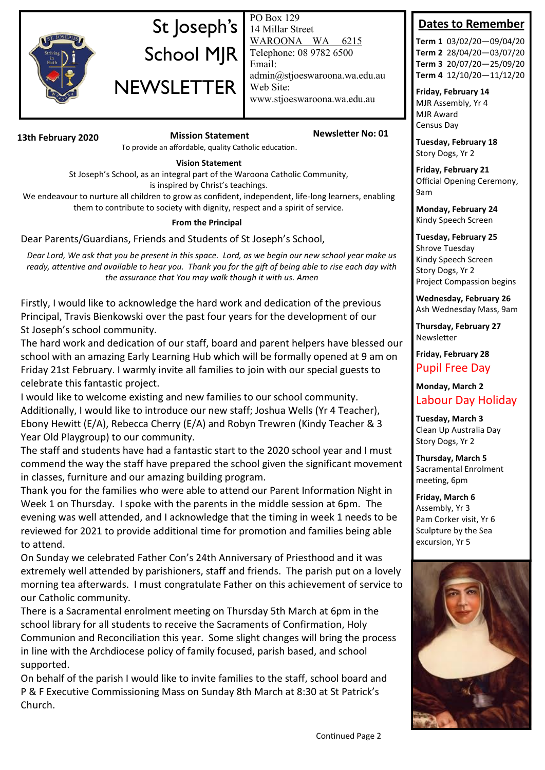

# St Joseph's School MJR **NEWSLETTER**

PO Box 129 14 Millar Street WAROONA WA 6215 Telephone: 08 9782 6500 Email: admin@stjoeswaroona.wa.edu.au Web Site: www.stjoeswaroona.wa.edu.au

**13th February 2020 Mission Statement Newsletter No: 01**

To provide an affordable, quality Catholic education.

#### **Vision Statement**

St Joseph's School, as an integral part of the Waroona Catholic Community, is inspired by Christ's teachings.

We endeavour to nurture all children to grow as confident, independent, life-long learners, enabling them to contribute to society with dignity, respect and a spirit of service.

#### **From the Principal**

Dear Parents/Guardians, Friends and Students of St Joseph's School,

*Dear Lord, We ask that you be present in this space. Lord, as we begin our new school year make us ready, attentive and available to hear you. Thank you for the gift of being able to rise each day with the assurance that You may walk though it with us. Amen*

Firstly, I would like to acknowledge the hard work and dedication of the previous Principal, Travis Bienkowski over the past four years for the development of our St Joseph's school community.

The hard work and dedication of our staff, board and parent helpers have blessed our school with an amazing Early Learning Hub which will be formally opened at 9 am on Friday 21st February. I warmly invite all families to join with our special guests to celebrate this fantastic project.

I would like to welcome existing and new families to our school community. Additionally, I would like to introduce our new staff; Joshua Wells (Yr 4 Teacher), Ebony Hewitt (E/A), Rebecca Cherry (E/A) and Robyn Trewren (Kindy Teacher & 3 Year Old Playgroup) to our community.

The staff and students have had a fantastic start to the 2020 school year and I must commend the way the staff have prepared the school given the significant movement in classes, furniture and our amazing building program.

Thank you for the families who were able to attend our Parent Information Night in Week 1 on Thursday. I spoke with the parents in the middle session at 6pm. The evening was well attended, and I acknowledge that the timing in week 1 needs to be reviewed for 2021 to provide additional time for promotion and families being able to attend.

On Sunday we celebrated Father Con's 24th Anniversary of Priesthood and it was extremely well attended by parishioners, staff and friends. The parish put on a lovely morning tea afterwards. I must congratulate Father on this achievement of service to our Catholic community.

There is a Sacramental enrolment meeting on Thursday 5th March at 6pm in the school library for all students to receive the Sacraments of Confirmation, Holy Communion and Reconciliation this year. Some slight changes will bring the process in line with the Archdiocese policy of family focused, parish based, and school supported.

On behalf of the parish I would like to invite families to the staff, school board and P & F Executive Commissioning Mass on Sunday 8th March at 8:30 at St Patrick's Church.

## **Dates to Remember**

**Term 1** 03/02/20—09/04/20 **Term 2** 28/04/20—03/07/20 **Term 3** 20/07/20—25/09/20 **Term 4** 12/10/20—11/12/20

**Friday, February 14** MJR Assembly, Yr 4 MJR Award Census Day

**Tuesday, February 18** Story Dogs, Yr 2

**Friday, February 21** Official Opening Ceremony, 9am

**Monday, February 24** Kindy Speech Screen

**Tuesday, February 25** Shrove Tuesday Kindy Speech Screen Story Dogs, Yr 2 Project Compassion begins

**Wednesday, February 26** Ash Wednesday Mass, 9am

**Thursday, February 27** Newsletter

**Friday, February 28** Pupil Free Day

**Monday, March 2** Labour Day Holiday

**Tuesday, March 3** Clean Up Australia Day Story Dogs, Yr 2

**Thursday, March 5** Sacramental Enrolment meeting, 6pm

**Friday, March 6** Assembly, Yr 3 Pam Corker visit, Yr 6 Sculpture by the Sea excursion, Yr 5

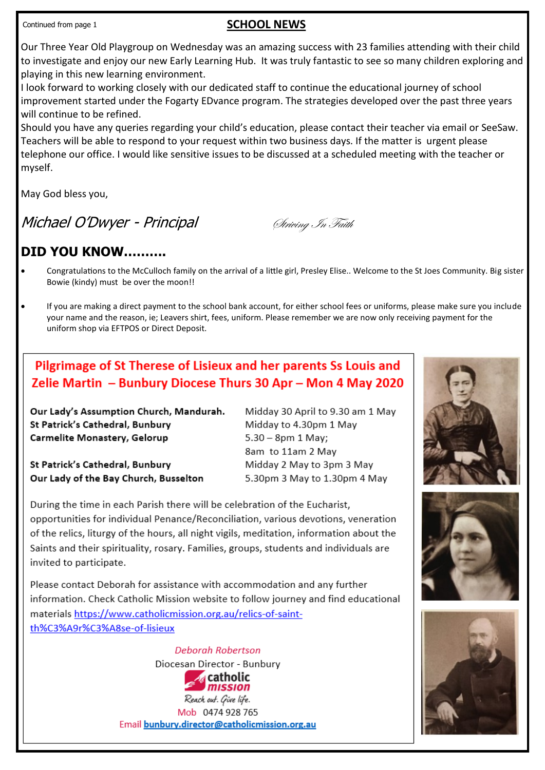### **SCHOOL NEWS**

Our Three Year Old Playgroup on Wednesday was an amazing success with 23 families attending with their child to investigate and enjoy our new Early Learning Hub. It was truly fantastic to see so many children exploring and playing in this new learning environment.

I look forward to working closely with our dedicated staff to continue the educational journey of school improvement started under the Fogarty EDvance program. The strategies developed over the past three years will continue to be refined.

Should you have any queries regarding your child's education, please contact their teacher via email or SeeSaw. Teachers will be able to respond to your request within two business days. If the matter is urgent please telephone our office. I would like sensitive issues to be discussed at a scheduled meeting with the teacher or myself.

May God bless you,

Michael O'Dwyer - Principal Striving In Faith

## **DID YOU KNOW……….**

- Congratulations to the McCulloch family on the arrival of a little girl, Presley Elise.. Welcome to the St Joes Community. Big sister Bowie (kindy) must be over the moon!!
- If you are making a direct payment to the school bank account, for either school fees or uniforms, please make sure you include your name and the reason, ie; Leavers shirt, fees, uniform. Please remember we are now only receiving payment for the uniform shop via EFTPOS or Direct Deposit.

## Pilgrimage of St Therese of Lisieux and her parents Ss Louis and Zelie Martin - Bunbury Diocese Thurs 30 Apr - Mon 4 May 2020

Our Lady's Assumption Church, Mandurah. St Patrick's Cathedral, Bunbury Carmelite Monastery, Gelorup

St Patrick's Cathedral, Bunbury Our Lady of the Bay Church, Busselton Midday 30 April to 9.30 am 1 May Midday to 4.30pm 1 May  $5.30 - 8$ pm 1 May; 8am to 11am 2 May Midday 2 May to 3pm 3 May 5.30pm 3 May to 1.30pm 4 May

During the time in each Parish there will be celebration of the Eucharist, opportunities for individual Penance/Reconciliation, various devotions, veneration of the relics, liturgy of the hours, all night vigils, meditation, information about the Saints and their spirituality, rosary. Families, groups, students and individuals are invited to participate.

Please contact Deborah for assistance with accommodation and any further information. Check Catholic Mission website to follow journey and find educational materials https://www.catholicmission.org.au/relics-of-saintth%C3%A9r%C3%A8se-of-lisieux

> **Deborah Robertson** Diocesan Director - Bunbury **Acatholic** mission Reach out. Give life. Mob 0474 928 765 Email bunbury.director@catholicmission.org.au